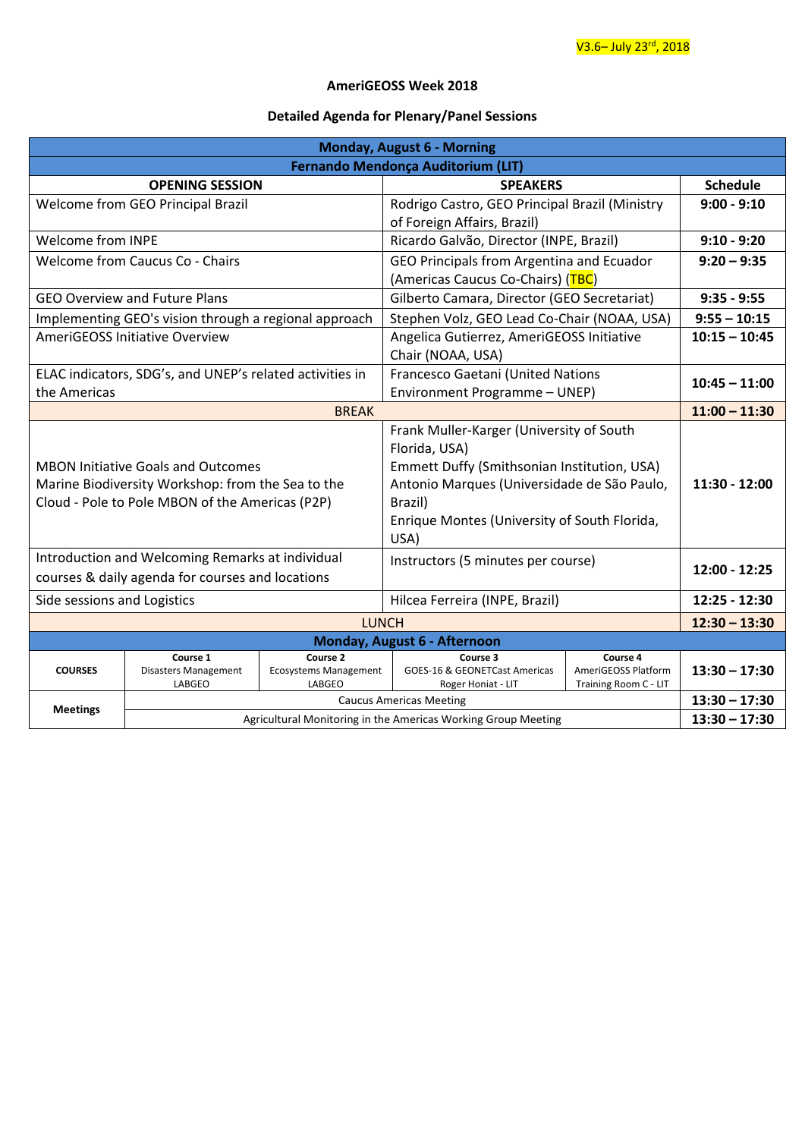## **AmeriGEOSS Week 2018**

## **Detailed Agenda for Plenary/Panel Sessions**

|                                                           | <b>Monday, August 6 - Morning</b>                             |                                               |                                                                |                                              |                 |  |
|-----------------------------------------------------------|---------------------------------------------------------------|-----------------------------------------------|----------------------------------------------------------------|----------------------------------------------|-----------------|--|
| <b>Fernando Mendonça Auditorium (LIT)</b>                 |                                                               |                                               |                                                                |                                              |                 |  |
| <b>OPENING SESSION</b>                                    |                                                               | <b>SPEAKERS</b>                               |                                                                | <b>Schedule</b>                              |                 |  |
|                                                           | Welcome from GEO Principal Brazil                             |                                               | Rodrigo Castro, GEO Principal Brazil (Ministry                 |                                              | $9:00 - 9:10$   |  |
|                                                           |                                                               |                                               | of Foreign Affairs, Brazil)                                    |                                              |                 |  |
| <b>Welcome from INPE</b>                                  |                                                               |                                               | Ricardo Galvão, Director (INPE, Brazil)                        |                                              | $9:10 - 9:20$   |  |
|                                                           | Welcome from Caucus Co - Chairs                               |                                               | GEO Principals from Argentina and Ecuador                      |                                              | $9:20 - 9:35$   |  |
|                                                           |                                                               |                                               | (Americas Caucus Co-Chairs) (TBC)                              |                                              |                 |  |
|                                                           | <b>GEO Overview and Future Plans</b>                          |                                               | Gilberto Camara, Director (GEO Secretariat)                    |                                              | $9:35 - 9:55$   |  |
|                                                           | Implementing GEO's vision through a regional approach         |                                               | Stephen Volz, GEO Lead Co-Chair (NOAA, USA)                    |                                              | $9:55 - 10:15$  |  |
|                                                           | <b>AmeriGEOSS Initiative Overview</b>                         |                                               | Angelica Gutierrez, AmeriGEOSS Initiative                      |                                              | $10:15 - 10:45$ |  |
|                                                           |                                                               |                                               | Chair (NOAA, USA)                                              |                                              |                 |  |
|                                                           | ELAC indicators, SDG's, and UNEP's related activities in      |                                               | Francesco Gaetani (United Nations                              |                                              |                 |  |
| the Americas                                              |                                                               | Environment Programme - UNEP)                 |                                                                | $10:45 - 11:00$                              |                 |  |
| <b>BREAK</b>                                              |                                                               |                                               |                                                                | $11:00 - 11:30$                              |                 |  |
| Frank Muller-Karger (University of South<br>Florida, USA) |                                                               |                                               |                                                                |                                              |                 |  |
|                                                           |                                                               |                                               |                                                                |                                              |                 |  |
| <b>MBON Initiative Goals and Outcomes</b>                 |                                                               |                                               | Emmett Duffy (Smithsonian Institution, USA)                    |                                              |                 |  |
| Marine Biodiversity Workshop: from the Sea to the         |                                                               |                                               | Antonio Marques (Universidade de São Paulo,                    |                                              | $11:30 - 12:00$ |  |
| Cloud - Pole to Pole MBON of the Americas (P2P)           |                                                               |                                               | Brazil)                                                        |                                              |                 |  |
|                                                           |                                                               |                                               | Enrique Montes (University of South Florida,                   |                                              |                 |  |
|                                                           |                                                               |                                               | USA)                                                           |                                              |                 |  |
| Introduction and Welcoming Remarks at individual          |                                                               |                                               | Instructors (5 minutes per course)                             |                                              | 12:00 - 12:25   |  |
| courses & daily agenda for courses and locations          |                                                               |                                               |                                                                |                                              |                 |  |
| Side sessions and Logistics                               |                                                               |                                               | Hilcea Ferreira (INPE, Brazil)                                 |                                              | 12:25 - 12:30   |  |
| <b>LUNCH</b>                                              |                                                               |                                               |                                                                |                                              | $12:30 - 13:30$ |  |
| Monday, August 6 - Afternoon                              |                                                               |                                               |                                                                |                                              |                 |  |
|                                                           | Course 1                                                      | Course 2                                      | Course 3                                                       | Course 4                                     |                 |  |
| <b>COURSES</b>                                            | Disasters Management<br>LABGEO                                | <b>Ecosystems Management</b><br><b>LABGEO</b> | <b>GOES-16 &amp; GEONETCast Americas</b><br>Roger Honiat - LIT | AmeriGEOSS Platform<br>Training Room C - LIT | $13:30 - 17:30$ |  |
| <b>Meetings</b>                                           | <b>Caucus Americas Meeting</b>                                |                                               |                                                                |                                              | $13:30 - 17:30$ |  |
|                                                           | Agricultural Monitoring in the Americas Working Group Meeting |                                               |                                                                | $13:30 - 17:30$                              |                 |  |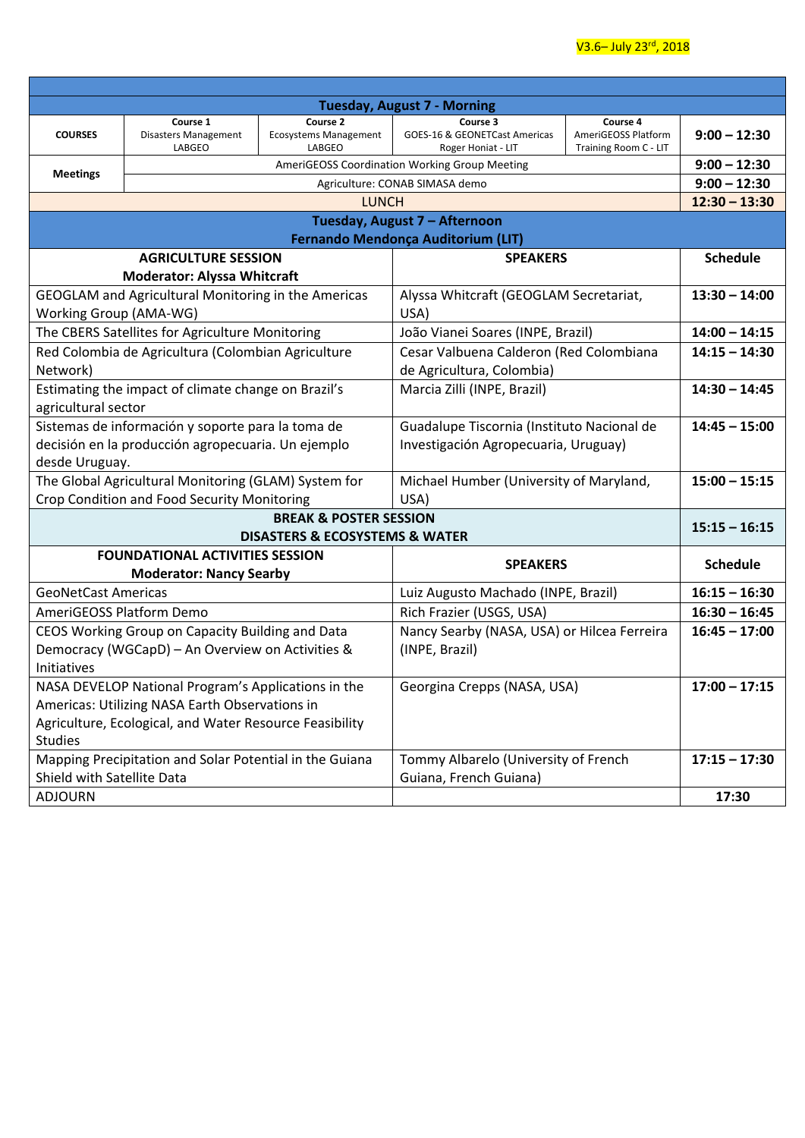| <b>Tuesday, August 7 - Morning</b>                                            |                                                     |                                                    |                                                                 |                                                          |                 |  |  |
|-------------------------------------------------------------------------------|-----------------------------------------------------|----------------------------------------------------|-----------------------------------------------------------------|----------------------------------------------------------|-----------------|--|--|
| <b>COURSES</b>                                                                | Course 1<br><b>Disasters Management</b><br>LABGEO   | Course 2<br><b>Ecosystems Management</b><br>LABGEO | Course 3<br>GOES-16 & GEONETCast Americas<br>Roger Honiat - LIT | Course 4<br>AmeriGEOSS Platform<br>Training Room C - LIT | $9:00 - 12:30$  |  |  |
| <b>Meetings</b>                                                               |                                                     |                                                    | AmeriGEOSS Coordination Working Group Meeting                   |                                                          | $9:00 - 12:30$  |  |  |
|                                                                               |                                                     |                                                    | Agriculture: CONAB SIMASA demo                                  |                                                          | $9:00 - 12:30$  |  |  |
|                                                                               |                                                     | <b>LUNCH</b>                                       |                                                                 |                                                          | $12:30 - 13:30$ |  |  |
|                                                                               |                                                     |                                                    | Tuesday, August 7 - Afternoon                                   |                                                          |                 |  |  |
|                                                                               |                                                     |                                                    | Fernando Mendonça Auditorium (LIT)                              |                                                          |                 |  |  |
|                                                                               | <b>AGRICULTURE SESSION</b>                          |                                                    | <b>SPEAKERS</b>                                                 |                                                          | <b>Schedule</b> |  |  |
|                                                                               | <b>Moderator: Alyssa Whitcraft</b>                  |                                                    |                                                                 |                                                          |                 |  |  |
| GEOGLAM and Agricultural Monitoring in the Americas<br>Working Group (AMA-WG) |                                                     |                                                    | Alyssa Whitcraft (GEOGLAM Secretariat,<br>USA)                  |                                                          | $13:30 - 14:00$ |  |  |
|                                                                               | The CBERS Satellites for Agriculture Monitoring     |                                                    | João Vianei Soares (INPE, Brazil)                               |                                                          | $14:00 - 14:15$ |  |  |
|                                                                               | Red Colombia de Agricultura (Colombian Agriculture  |                                                    | Cesar Valbuena Calderon (Red Colombiana                         |                                                          | $14:15 - 14:30$ |  |  |
| Network)                                                                      |                                                     |                                                    | de Agricultura, Colombia)                                       |                                                          |                 |  |  |
|                                                                               | Estimating the impact of climate change on Brazil's |                                                    | Marcia Zilli (INPE, Brazil)                                     |                                                          | $14:30 - 14:45$ |  |  |
| agricultural sector                                                           |                                                     |                                                    |                                                                 |                                                          |                 |  |  |
|                                                                               | Sistemas de información y soporte para la toma de   |                                                    | Guadalupe Tiscornia (Instituto Nacional de                      |                                                          | $14:45 - 15:00$ |  |  |
| decisión en la producción agropecuaria. Un ejemplo                            |                                                     |                                                    | Investigación Agropecuaria, Uruguay)                            |                                                          |                 |  |  |
| desde Uruguay.                                                                |                                                     |                                                    |                                                                 |                                                          |                 |  |  |
| The Global Agricultural Monitoring (GLAM) System for                          |                                                     |                                                    | Michael Humber (University of Maryland,                         |                                                          | $15:00 - 15:15$ |  |  |
| Crop Condition and Food Security Monitoring<br>USA)                           |                                                     |                                                    |                                                                 |                                                          |                 |  |  |
| <b>BREAK &amp; POSTER SESSION</b>                                             |                                                     |                                                    |                                                                 |                                                          |                 |  |  |
|                                                                               |                                                     | <b>DISASTERS &amp; ECOSYSTEMS &amp; WATER</b>      |                                                                 |                                                          | $15:15 - 16:15$ |  |  |
| <b>FOUNDATIONAL ACTIVITIES SESSION</b><br><b>Moderator: Nancy Searby</b>      |                                                     | <b>SPEAKERS</b>                                    |                                                                 | <b>Schedule</b>                                          |                 |  |  |
| <b>GeoNetCast Americas</b>                                                    |                                                     |                                                    | Luiz Augusto Machado (INPE, Brazil)                             |                                                          | $16:15 - 16:30$ |  |  |
| AmeriGEOSS Platform Demo                                                      |                                                     | Rich Frazier (USGS, USA)                           |                                                                 | $16:30 - 16:45$                                          |                 |  |  |
| CEOS Working Group on Capacity Building and Data                              |                                                     |                                                    | Nancy Searby (NASA, USA) or Hilcea Ferreira                     |                                                          | $16:45 - 17:00$ |  |  |
| Democracy (WGCapD) - An Overview on Activities &                              |                                                     |                                                    | (INPE, Brazil)                                                  |                                                          |                 |  |  |
| Initiatives                                                                   |                                                     |                                                    |                                                                 |                                                          |                 |  |  |
| NASA DEVELOP National Program's Applications in the                           |                                                     | Georgina Crepps (NASA, USA)                        |                                                                 | $17:00 - 17:15$                                          |                 |  |  |
| Americas: Utilizing NASA Earth Observations in                                |                                                     |                                                    |                                                                 |                                                          |                 |  |  |
| Agriculture, Ecological, and Water Resource Feasibility                       |                                                     |                                                    |                                                                 |                                                          |                 |  |  |
| <b>Studies</b>                                                                |                                                     |                                                    |                                                                 |                                                          |                 |  |  |
| Mapping Precipitation and Solar Potential in the Guiana                       |                                                     |                                                    | Tommy Albarelo (University of French                            |                                                          | $17:15 - 17:30$ |  |  |
| Shield with Satellite Data                                                    |                                                     |                                                    | Guiana, French Guiana)                                          |                                                          |                 |  |  |
| <b>ADJOURN</b>                                                                |                                                     |                                                    |                                                                 |                                                          | 17:30           |  |  |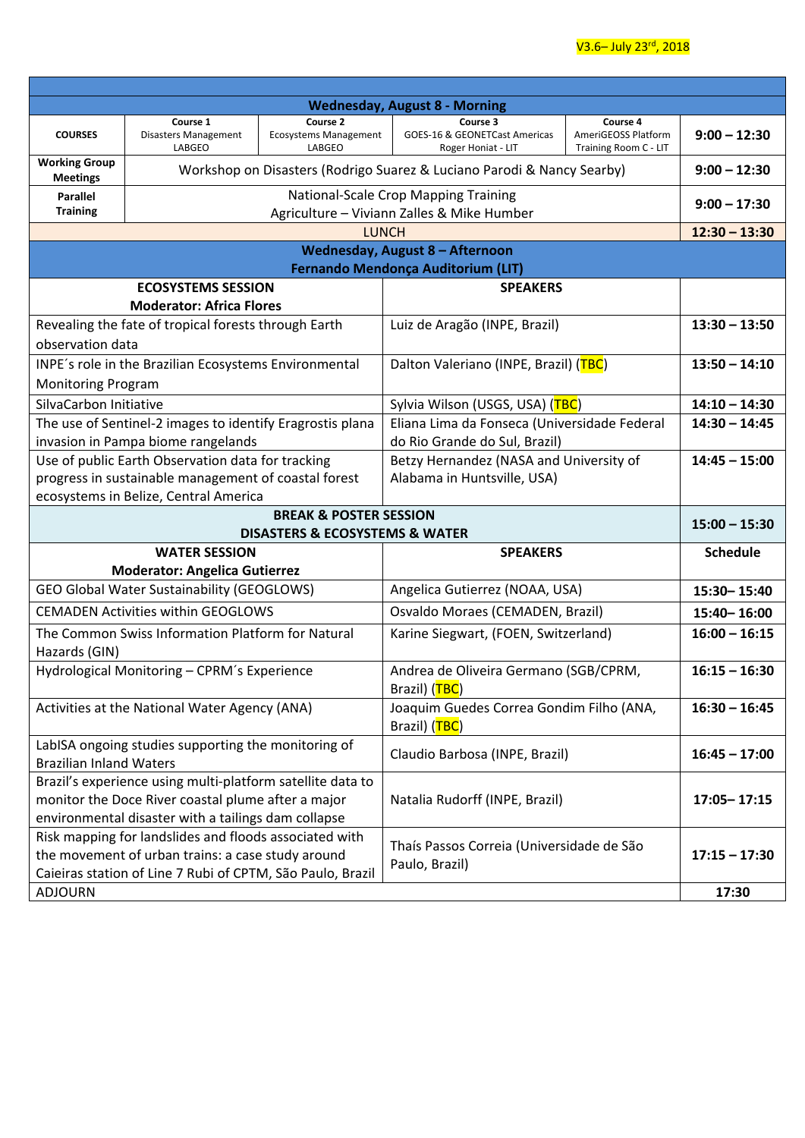

| <b>Wednesday, August 8 - Morning</b><br>Course 2<br>Course 3<br>Course 1<br>Course 4                                                                                      |                                                           |                                                                        |                                                                               |                                              |                 |  |
|---------------------------------------------------------------------------------------------------------------------------------------------------------------------------|-----------------------------------------------------------|------------------------------------------------------------------------|-------------------------------------------------------------------------------|----------------------------------------------|-----------------|--|
| <b>COURSES</b>                                                                                                                                                            | Disasters Management<br>LABGEO                            | <b>Ecosystems Management</b><br>LABGEO                                 | GOES-16 & GEONETCast Americas<br>Roger Honiat - LIT                           | AmeriGEOSS Platform<br>Training Room C - LIT | $9:00 - 12:30$  |  |
| <b>Working Group</b><br><b>Meetings</b>                                                                                                                                   |                                                           | Workshop on Disasters (Rodrigo Suarez & Luciano Parodi & Nancy Searby) |                                                                               |                                              | $9:00 - 12:30$  |  |
| Parallel                                                                                                                                                                  |                                                           |                                                                        | National-Scale Crop Mapping Training                                          |                                              | $9:00 - 17:30$  |  |
| <b>Training</b>                                                                                                                                                           |                                                           |                                                                        | Agriculture - Viviann Zalles & Mike Humber                                    |                                              |                 |  |
|                                                                                                                                                                           |                                                           | <b>LUNCH</b>                                                           |                                                                               |                                              | $12:30 - 13:30$ |  |
|                                                                                                                                                                           |                                                           |                                                                        | Wednesday, August 8 - Afternoon                                               |                                              |                 |  |
|                                                                                                                                                                           |                                                           |                                                                        | Fernando Mendonça Auditorium (LIT)                                            |                                              |                 |  |
|                                                                                                                                                                           | <b>ECOSYSTEMS SESSION</b>                                 |                                                                        | <b>SPEAKERS</b>                                                               |                                              |                 |  |
|                                                                                                                                                                           | <b>Moderator: Africa Flores</b>                           |                                                                        |                                                                               |                                              |                 |  |
| observation data                                                                                                                                                          | Revealing the fate of tropical forests through Earth      |                                                                        | Luiz de Aragão (INPE, Brazil)                                                 |                                              | $13:30 - 13:50$ |  |
|                                                                                                                                                                           |                                                           |                                                                        |                                                                               |                                              |                 |  |
|                                                                                                                                                                           | INPE's role in the Brazilian Ecosystems Environmental     |                                                                        | Dalton Valeriano (INPE, Brazil) (TBC)                                         |                                              | $13:50 - 14:10$ |  |
| <b>Monitoring Program</b><br>SilvaCarbon Initiative                                                                                                                       |                                                           |                                                                        | Sylvia Wilson (USGS, USA) (TBC)                                               |                                              | $14:10 - 14:30$ |  |
|                                                                                                                                                                           | The use of Sentinel-2 images to identify Eragrostis plana |                                                                        |                                                                               |                                              | $14:30 - 14:45$ |  |
|                                                                                                                                                                           |                                                           |                                                                        | Eliana Lima da Fonseca (Universidade Federal<br>do Rio Grande do Sul, Brazil) |                                              |                 |  |
| invasion in Pampa biome rangelands<br>Use of public Earth Observation data for tracking                                                                                   |                                                           |                                                                        | Betzy Hernandez (NASA and University of                                       |                                              | $14:45 - 15:00$ |  |
| progress in sustainable management of coastal forest                                                                                                                      |                                                           |                                                                        | Alabama in Huntsville, USA)                                                   |                                              |                 |  |
| ecosystems in Belize, Central America                                                                                                                                     |                                                           |                                                                        |                                                                               |                                              |                 |  |
| <b>BREAK &amp; POSTER SESSION</b>                                                                                                                                         |                                                           |                                                                        |                                                                               |                                              |                 |  |
|                                                                                                                                                                           |                                                           | <b>DISASTERS &amp; ECOSYSTEMS &amp; WATER</b>                          |                                                                               |                                              | $15:00 - 15:30$ |  |
| <b>WATER SESSION</b><br><b>SPEAKERS</b>                                                                                                                                   |                                                           |                                                                        | <b>Schedule</b>                                                               |                                              |                 |  |
| <b>Moderator: Angelica Gutierrez</b>                                                                                                                                      |                                                           |                                                                        |                                                                               |                                              |                 |  |
| <b>GEO Global Water Sustainability (GEOGLOWS)</b>                                                                                                                         |                                                           |                                                                        | Angelica Gutierrez (NOAA, USA)                                                |                                              | 15:30 - 15:40   |  |
| <b>CEMADEN Activities within GEOGLOWS</b>                                                                                                                                 |                                                           |                                                                        | Osvaldo Moraes (CEMADEN, Brazil)                                              |                                              | 15:40 - 16:00   |  |
| The Common Swiss Information Platform for Natural<br>Hazards (GIN)                                                                                                        |                                                           |                                                                        | Karine Siegwart, (FOEN, Switzerland)                                          |                                              | $16:00 - 16:15$ |  |
| Hydrological Monitoring - CPRM's Experience                                                                                                                               |                                                           |                                                                        | Andrea de Oliveira Germano (SGB/CPRM,<br>Brazil) (TBC)                        |                                              | $16:15 - 16:30$ |  |
| Activities at the National Water Agency (ANA)                                                                                                                             |                                                           |                                                                        | Joaquim Guedes Correa Gondim Filho (ANA,<br>Brazil) (TBC)                     |                                              | $16:30 - 16:45$ |  |
| LabISA ongoing studies supporting the monitoring of<br><b>Brazilian Inland Waters</b>                                                                                     |                                                           |                                                                        | Claudio Barbosa (INPE, Brazil)                                                |                                              | $16:45 - 17:00$ |  |
| Brazil's experience using multi-platform satellite data to<br>monitor the Doce River coastal plume after a major<br>environmental disaster with a tailings dam collapse   |                                                           |                                                                        | Natalia Rudorff (INPE, Brazil)                                                |                                              | $17:05 - 17:15$ |  |
| Risk mapping for landslides and floods associated with<br>the movement of urban trains: a case study around<br>Caieiras station of Line 7 Rubi of CPTM, São Paulo, Brazil |                                                           |                                                                        | Thaís Passos Correia (Universidade de São<br>Paulo, Brazil)                   |                                              | $17:15 - 17:30$ |  |
| <b>ADJOURN</b>                                                                                                                                                            |                                                           |                                                                        |                                                                               |                                              | 17:30           |  |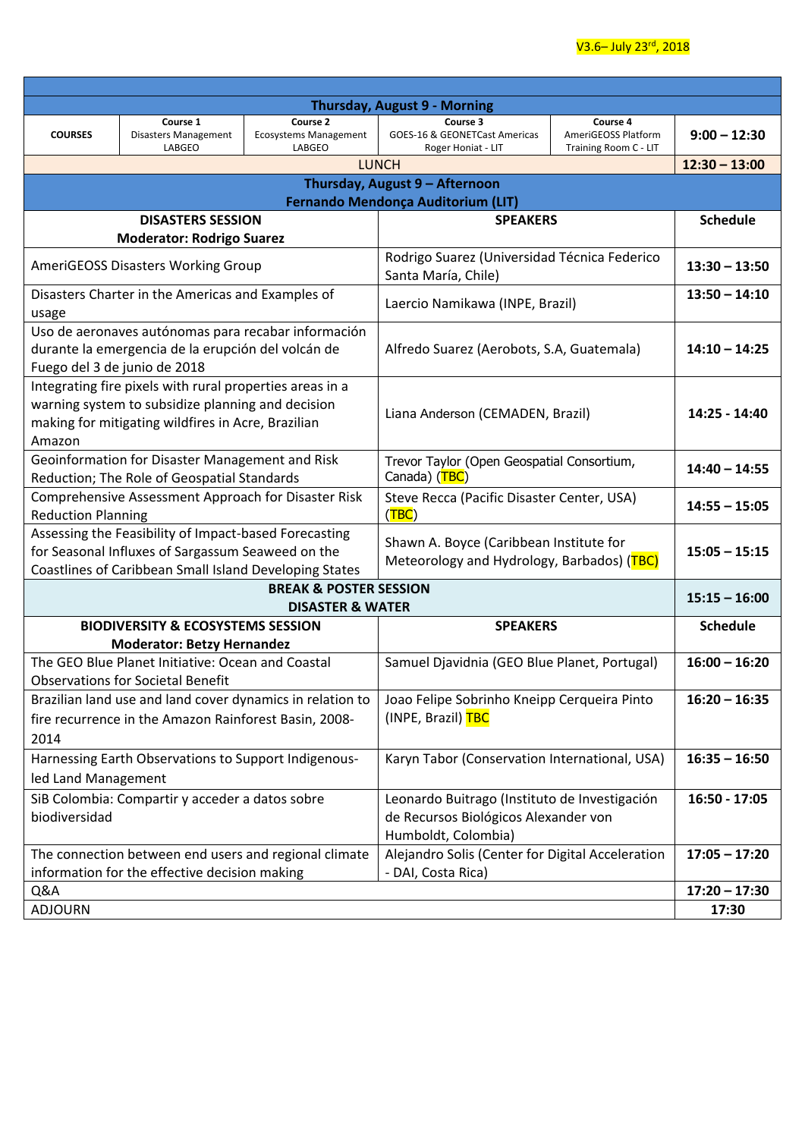| <b>Thursday, August 9 - Morning</b>                                                                                                                                           |                                                                                               |                                                                                                              |                                                                                       |                                 |                 |  |  |
|-------------------------------------------------------------------------------------------------------------------------------------------------------------------------------|-----------------------------------------------------------------------------------------------|--------------------------------------------------------------------------------------------------------------|---------------------------------------------------------------------------------------|---------------------------------|-----------------|--|--|
| <b>COURSES</b>                                                                                                                                                                | Course 1<br>Disasters Management                                                              | Course 2<br><b>Ecosystems Management</b>                                                                     | Course 3<br>GOES-16 & GEONETCast Americas                                             | Course 4<br>AmeriGEOSS Platform | $9:00 - 12:30$  |  |  |
|                                                                                                                                                                               | LABGEO                                                                                        | LABGEO                                                                                                       | Roger Honiat - LIT                                                                    | Training Room C - LIT           |                 |  |  |
|                                                                                                                                                                               |                                                                                               |                                                                                                              | <b>LUNCH</b>                                                                          |                                 | $12:30 - 13:00$ |  |  |
|                                                                                                                                                                               |                                                                                               |                                                                                                              | Thursday, August 9 - Afternoon<br>Fernando Mendonça Auditorium (LIT)                  |                                 |                 |  |  |
|                                                                                                                                                                               | <b>DISASTERS SESSION</b>                                                                      |                                                                                                              | <b>SPEAKERS</b>                                                                       |                                 | <b>Schedule</b> |  |  |
| <b>Moderator: Rodrigo Suarez</b>                                                                                                                                              |                                                                                               |                                                                                                              |                                                                                       |                                 |                 |  |  |
| AmeriGEOSS Disasters Working Group                                                                                                                                            |                                                                                               | Rodrigo Suarez (Universidad Técnica Federico<br>Santa María, Chile)                                          |                                                                                       | $13:30 - 13:50$                 |                 |  |  |
| usage                                                                                                                                                                         | Disasters Charter in the Americas and Examples of                                             |                                                                                                              | Laercio Namikawa (INPE, Brazil)                                                       |                                 | $13:50 - 14:10$ |  |  |
| Uso de aeronaves autónomas para recabar información<br>durante la emergencia de la erupción del volcán de<br>Fuego del 3 de junio de 2018                                     |                                                                                               |                                                                                                              | Alfredo Suarez (Aerobots, S.A, Guatemala)                                             |                                 | $14:10 - 14:25$ |  |  |
| Integrating fire pixels with rural properties areas in a<br>warning system to subsidize planning and decision<br>making for mitigating wildfires in Acre, Brazilian<br>Amazon |                                                                                               |                                                                                                              | Liana Anderson (CEMADEN, Brazil)                                                      |                                 | 14:25 - 14:40   |  |  |
| Geoinformation for Disaster Management and Risk<br>Reduction; The Role of Geospatial Standards                                                                                |                                                                                               |                                                                                                              | Trevor Taylor (Open Geospatial Consortium,<br>Canada) (TBC)                           |                                 | $14:40 - 14:55$ |  |  |
| Comprehensive Assessment Approach for Disaster Risk<br><b>Reduction Planning</b>                                                                                              |                                                                                               | Steve Recca (Pacific Disaster Center, USA)<br>(TBC)                                                          |                                                                                       | $14:55 - 15:05$                 |                 |  |  |
| Assessing the Feasibility of Impact-based Forecasting<br>for Seasonal Influxes of Sargassum Seaweed on the<br>Coastlines of Caribbean Small Island Developing States          |                                                                                               |                                                                                                              | Shawn A. Boyce (Caribbean Institute for<br>Meteorology and Hydrology, Barbados) (TBC) |                                 | $15:05 - 15:15$ |  |  |
|                                                                                                                                                                               |                                                                                               | <b>BREAK &amp; POSTER SESSION</b>                                                                            |                                                                                       |                                 | $15:15 - 16:00$ |  |  |
|                                                                                                                                                                               |                                                                                               | <b>DISASTER &amp; WATER</b>                                                                                  |                                                                                       |                                 |                 |  |  |
| <b>BIODIVERSITY &amp; ECOSYSTEMS SESSION</b><br><b>Moderator: Betzy Hernandez</b>                                                                                             |                                                                                               |                                                                                                              | <b>SPEAKERS</b>                                                                       |                                 | <b>Schedule</b> |  |  |
|                                                                                                                                                                               | The GEO Blue Planet Initiative: Ocean and Coastal<br><b>Observations for Societal Benefit</b> |                                                                                                              | Samuel Djavidnia (GEO Blue Planet, Portugal)                                          |                                 | $16:00 - 16:20$ |  |  |
| Brazilian land use and land cover dynamics in relation to<br>fire recurrence in the Amazon Rainforest Basin, 2008-<br>2014                                                    |                                                                                               | Joao Felipe Sobrinho Kneipp Cerqueira Pinto<br>(INPE, Brazil) TBC                                            |                                                                                       | $16:20 - 16:35$                 |                 |  |  |
| Harnessing Earth Observations to Support Indigenous-<br>led Land Management                                                                                                   |                                                                                               | Karyn Tabor (Conservation International, USA)                                                                |                                                                                       | $16:35 - 16:50$                 |                 |  |  |
| SiB Colombia: Compartir y acceder a datos sobre<br>biodiversidad                                                                                                              |                                                                                               | Leonardo Buitrago (Instituto de Investigación<br>de Recursos Biológicos Alexander von<br>Humboldt, Colombia) |                                                                                       | $16:50 - 17:05$                 |                 |  |  |
| The connection between end users and regional climate<br>information for the effective decision making                                                                        |                                                                                               |                                                                                                              | Alejandro Solis (Center for Digital Acceleration<br>- DAI, Costa Rica)                |                                 | $17:05 - 17:20$ |  |  |
| Q&A                                                                                                                                                                           |                                                                                               |                                                                                                              |                                                                                       | $17:20 - 17:30$                 |                 |  |  |
| <b>ADJOURN</b>                                                                                                                                                                |                                                                                               |                                                                                                              |                                                                                       |                                 | 17:30           |  |  |